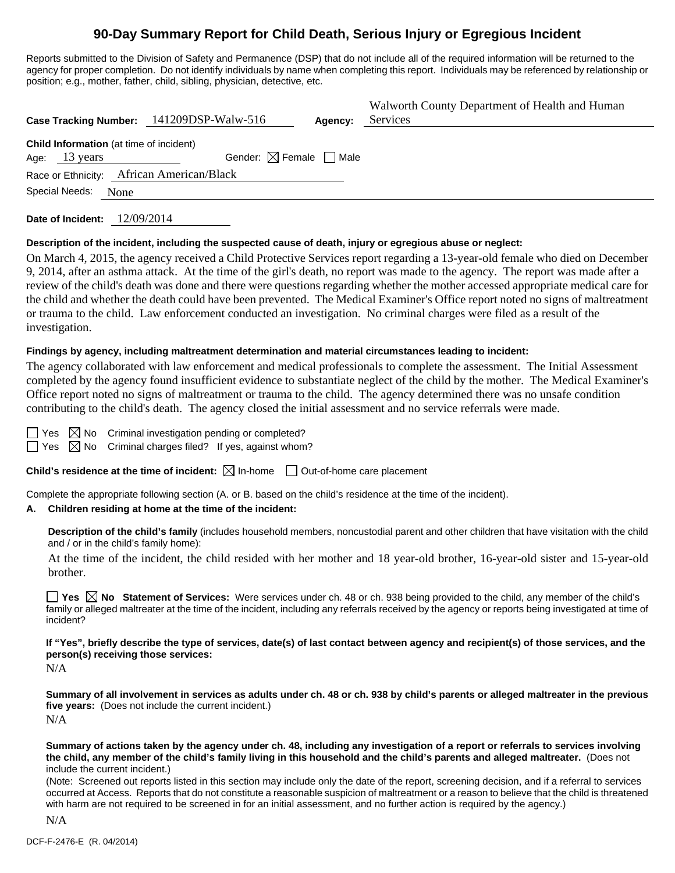## **90-Day Summary Report for Child Death, Serious Injury or Egregious Incident**

Reports submitted to the Division of Safety and Permanence (DSP) that do not include all of the required information will be returned to the agency for proper completion. Do not identify individuals by name when completing this report. Individuals may be referenced by relationship or position; e.g., mother, father, child, sibling, physician, detective, etc.

| Case Tracking Number: 141209DSP-Walw-516                                  |                                        | Agency: | Walworth County Department of Health and Human<br>Services |
|---------------------------------------------------------------------------|----------------------------------------|---------|------------------------------------------------------------|
| <b>Child Information</b> (at time of incident)<br>Age: $13 \text{ years}$ | Gender: $\boxtimes$ Female $\Box$ Male |         |                                                            |
| Race or Ethnicity: African American/Black<br>Special Needs:<br>None       |                                        |         |                                                            |

**Date of Incident:** 12/09/2014

#### **Description of the incident, including the suspected cause of death, injury or egregious abuse or neglect:**

On March 4, 2015, the agency received a Child Protective Services report regarding a 13-year-old female who died on December 9, 2014, after an asthma attack. At the time of the girl's death, no report was made to the agency. The report was made after a review of the child's death was done and there were questions regarding whether the mother accessed appropriate medical care for the child and whether the death could have been prevented. The Medical Examiner's Office report noted no signs of maltreatment or trauma to the child. Law enforcement conducted an investigation. No criminal charges were filed as a result of the investigation.

#### **Findings by agency, including maltreatment determination and material circumstances leading to incident:**

The agency collaborated with law enforcement and medical professionals to complete the assessment. The Initial Assessment completed by the agency found insufficient evidence to substantiate neglect of the child by the mother. The Medical Examiner's Office report noted no signs of maltreatment or trauma to the child. The agency determined there was no unsafe condition contributing to the child's death. The agency closed the initial assessment and no service referrals were made.

| ۰. |  |
|----|--|
|    |  |

 $\boxtimes$  No Criminal investigation pending or completed?

 $\boxtimes$  No Criminal charges filed? If yes, against whom?

**Child's residence at the time of incident:**  $\boxtimes$  In-home  $\Box$  Out-of-home care placement

Complete the appropriate following section (A. or B. based on the child's residence at the time of the incident).

#### **A. Children residing at home at the time of the incident:**

**Description of the child's family** (includes household members, noncustodial parent and other children that have visitation with the child and / or in the child's family home):

 At the time of the incident, the child resided with her mother and 18 year-old brother, 16-year-old sister and 15-year-old brother.

**Yes**  $\boxtimes$  **No** Statement of Services: Were services under ch. 48 or ch. 938 being provided to the child, any member of the child's family or alleged maltreater at the time of the incident, including any referrals received by the agency or reports being investigated at time of incident?

**If "Yes", briefly describe the type of services, date(s) of last contact between agency and recipient(s) of those services, and the person(s) receiving those services:** 

N/A

**Summary of all involvement in services as adults under ch. 48 or ch. 938 by child's parents or alleged maltreater in the previous five years:** (Does not include the current incident.) N/A

**Summary of actions taken by the agency under ch. 48, including any investigation of a report or referrals to services involving the child, any member of the child's family living in this household and the child's parents and alleged maltreater.** (Does not include the current incident.)

(Note: Screened out reports listed in this section may include only the date of the report, screening decision, and if a referral to services occurred at Access. Reports that do not constitute a reasonable suspicion of maltreatment or a reason to believe that the child is threatened with harm are not required to be screened in for an initial assessment, and no further action is required by the agency.)

N/A